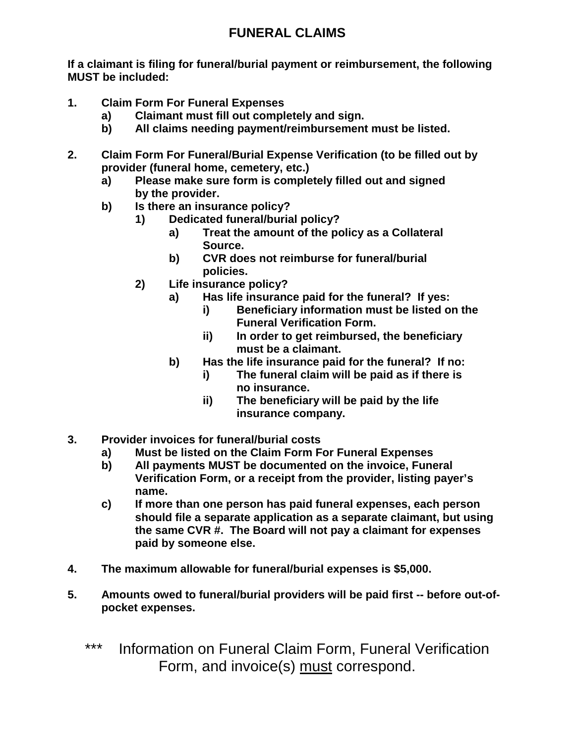## **FUNERAL CLAIMS**

**If a claimant is filing for funeral/burial payment or reimbursement, the following MUST be included:**

- **1. Claim Form For Funeral Expenses**
	- **a) Claimant must fill out completely and sign.**
	- **b) All claims needing payment/reimbursement must be listed.**
- **2. Claim Form For Funeral/Burial Expense Verification (to be filled out by provider (funeral home, cemetery, etc.)**
	- **a) Please make sure form is completely filled out and signed by the provider.**
	- **b) Is there an insurance policy?**
		- **1) Dedicated funeral/burial policy?**
			- **a) Treat the amount of the policy as a Collateral Source.**
			- **b) CVR does not reimburse for funeral/burial policies.**
		- **2) Life insurance policy?**
			- **a) Has life insurance paid for the funeral? If yes:**
				- **i) Beneficiary information must be listed on the Funeral Verification Form.**
				- **ii) In order to get reimbursed, the beneficiary must be a claimant.**
			- **b) Has the life insurance paid for the funeral? If no:**
				- **i) The funeral claim will be paid as if there is no insurance.**
				- **ii) The beneficiary will be paid by the life insurance company.**
- **3. Provider invoices for funeral/burial costs**
	- **a) Must be listed on the Claim Form For Funeral Expenses**
	- **b) All payments MUST be documented on the invoice, Funeral Verification Form, or a receipt from the provider, listing payer's name.**
	- **c) If more than one person has paid funeral expenses, each person should file a separate application as a separate claimant, but using the same CVR #. The Board will not pay a claimant for expenses paid by someone else.**
- **4. The maximum allowable for funeral/burial expenses is \$5,000.**
- **5. Amounts owed to funeral/burial providers will be paid first -- before out-ofpocket expenses.**
	- \*\*\* Information on Funeral Claim Form, Funeral Verification Form, and invoice(s) must correspond.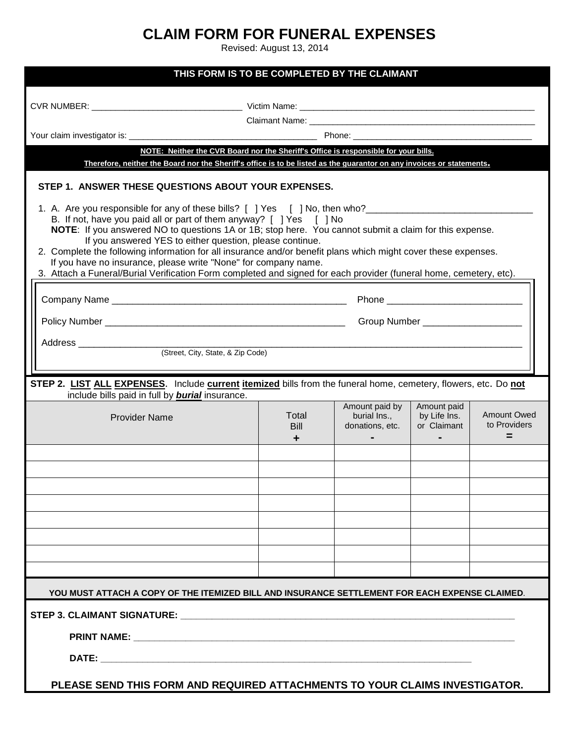## **CLAIM FORM FOR FUNERAL EXPENSES**

Revised: August 13, 2014

| THIS FORM IS TO BE COMPLETED BY THE CLAIMANT                                                                                                                                                                                                                                                                                                                                                                                                                                                                                                                                                                                                                |                                   |                                                   |                                                              |                                         |  |
|-------------------------------------------------------------------------------------------------------------------------------------------------------------------------------------------------------------------------------------------------------------------------------------------------------------------------------------------------------------------------------------------------------------------------------------------------------------------------------------------------------------------------------------------------------------------------------------------------------------------------------------------------------------|-----------------------------------|---------------------------------------------------|--------------------------------------------------------------|-----------------------------------------|--|
|                                                                                                                                                                                                                                                                                                                                                                                                                                                                                                                                                                                                                                                             |                                   |                                                   |                                                              |                                         |  |
| Claimant Name: Web and the contract of the contract of the contract of the contract of the contract of the contract of the contract of the contract of the contract of the contract of the contract of the contract of the con                                                                                                                                                                                                                                                                                                                                                                                                                              |                                   |                                                   |                                                              |                                         |  |
|                                                                                                                                                                                                                                                                                                                                                                                                                                                                                                                                                                                                                                                             |                                   |                                                   |                                                              |                                         |  |
| NOTE: Neither the CVR Board nor the Sheriff's Office is responsible for your bills.<br>Therefore, neither the Board nor the Sheriff's office is to be listed as the guarantor on any invoices or statements.                                                                                                                                                                                                                                                                                                                                                                                                                                                |                                   |                                                   |                                                              |                                         |  |
| STEP 1. ANSWER THESE QUESTIONS ABOUT YOUR EXPENSES.                                                                                                                                                                                                                                                                                                                                                                                                                                                                                                                                                                                                         |                                   |                                                   |                                                              |                                         |  |
| 1. A. Are you responsible for any of these bills? [ ] Yes [ ] No, then who?________________________<br>B. If not, have you paid all or part of them anyway? [ ] Yes [ ] No<br>NOTE: If you answered NO to questions 1A or 1B; stop here. You cannot submit a claim for this expense.<br>If you answered YES to either question, please continue.<br>2. Complete the following information for all insurance and/or benefit plans which might cover these expenses.<br>If you have no insurance, please write "None" for company name.<br>3. Attach a Funeral/Burial Verification Form completed and signed for each provider (funeral home, cemetery, etc). |                                   |                                                   |                                                              |                                         |  |
|                                                                                                                                                                                                                                                                                                                                                                                                                                                                                                                                                                                                                                                             |                                   |                                                   |                                                              |                                         |  |
|                                                                                                                                                                                                                                                                                                                                                                                                                                                                                                                                                                                                                                                             | Group Number ____________________ |                                                   |                                                              |                                         |  |
|                                                                                                                                                                                                                                                                                                                                                                                                                                                                                                                                                                                                                                                             |                                   |                                                   |                                                              |                                         |  |
|                                                                                                                                                                                                                                                                                                                                                                                                                                                                                                                                                                                                                                                             |                                   |                                                   |                                                              |                                         |  |
|                                                                                                                                                                                                                                                                                                                                                                                                                                                                                                                                                                                                                                                             |                                   |                                                   |                                                              |                                         |  |
| STEP 2. LIST ALL EXPENSES. Include current itemized bills from the funeral home, cemetery, flowers, etc. Do not<br>include bills paid in full by <b>burial</b> insurance.                                                                                                                                                                                                                                                                                                                                                                                                                                                                                   |                                   |                                                   |                                                              |                                         |  |
| <b>Provider Name</b>                                                                                                                                                                                                                                                                                                                                                                                                                                                                                                                                                                                                                                        | Total<br><b>Bill</b><br>٠         | Amount paid by<br>burial Ins.,<br>donations, etc. | Amount paid<br>by Life Ins.<br>or Claimant<br>$\blacksquare$ | <b>Amount Owed</b><br>to Providers<br>= |  |
|                                                                                                                                                                                                                                                                                                                                                                                                                                                                                                                                                                                                                                                             |                                   |                                                   |                                                              |                                         |  |
|                                                                                                                                                                                                                                                                                                                                                                                                                                                                                                                                                                                                                                                             |                                   |                                                   |                                                              |                                         |  |
|                                                                                                                                                                                                                                                                                                                                                                                                                                                                                                                                                                                                                                                             |                                   |                                                   |                                                              |                                         |  |
|                                                                                                                                                                                                                                                                                                                                                                                                                                                                                                                                                                                                                                                             |                                   |                                                   |                                                              |                                         |  |
|                                                                                                                                                                                                                                                                                                                                                                                                                                                                                                                                                                                                                                                             |                                   |                                                   |                                                              |                                         |  |
|                                                                                                                                                                                                                                                                                                                                                                                                                                                                                                                                                                                                                                                             |                                   |                                                   |                                                              |                                         |  |
|                                                                                                                                                                                                                                                                                                                                                                                                                                                                                                                                                                                                                                                             |                                   |                                                   |                                                              |                                         |  |
|                                                                                                                                                                                                                                                                                                                                                                                                                                                                                                                                                                                                                                                             |                                   |                                                   |                                                              |                                         |  |
|                                                                                                                                                                                                                                                                                                                                                                                                                                                                                                                                                                                                                                                             |                                   |                                                   |                                                              |                                         |  |
| YOU MUST ATTACH A COPY OF THE ITEMIZED BILL AND INSURANCE SETTLEMENT FOR EACH EXPENSE CLAIMED.                                                                                                                                                                                                                                                                                                                                                                                                                                                                                                                                                              |                                   |                                                   |                                                              |                                         |  |
| STEP 3. CLAIMANT SIGNATURE: WAS ARRESTED FOR A STEP 3. CLAIMANT SIGNATURE:                                                                                                                                                                                                                                                                                                                                                                                                                                                                                                                                                                                  |                                   |                                                   |                                                              |                                         |  |
|                                                                                                                                                                                                                                                                                                                                                                                                                                                                                                                                                                                                                                                             |                                   |                                                   |                                                              |                                         |  |
|                                                                                                                                                                                                                                                                                                                                                                                                                                                                                                                                                                                                                                                             |                                   |                                                   |                                                              |                                         |  |
| PLEASE SEND THIS FORM AND REQUIRED ATTACHMENTS TO YOUR CLAIMS INVESTIGATOR.                                                                                                                                                                                                                                                                                                                                                                                                                                                                                                                                                                                 |                                   |                                                   |                                                              |                                         |  |